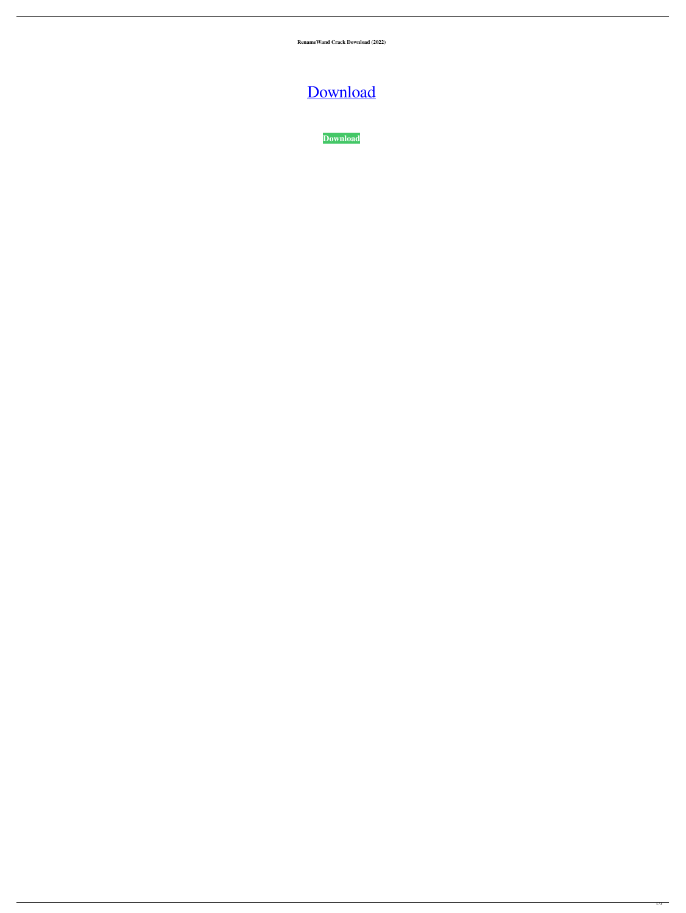**RenameWand Crack Download (2022)**

[Download](http://evacdir.com/ZG93bmxvYWR8Y1MyT0hwbGZId3hOalUwTlRJeU1URXdmSHd5TlRjMGZId29UU2tnY21WaFpDMWliRzluSUZ0R1lYTjBJRWRGVGww/fringes/afferent/unparalelled.UmVuYW1lV2FuZAUmV?deemphasizes/dimwitted)

**[Download](http://evacdir.com/ZG93bmxvYWR8Y1MyT0hwbGZId3hOalUwTlRJeU1URXdmSHd5TlRjMGZId29UU2tnY21WaFpDMWliRzluSUZ0R1lYTjBJRWRGVGww/fringes/afferent/unparalelled.UmVuYW1lV2FuZAUmV?deemphasizes/dimwitted)**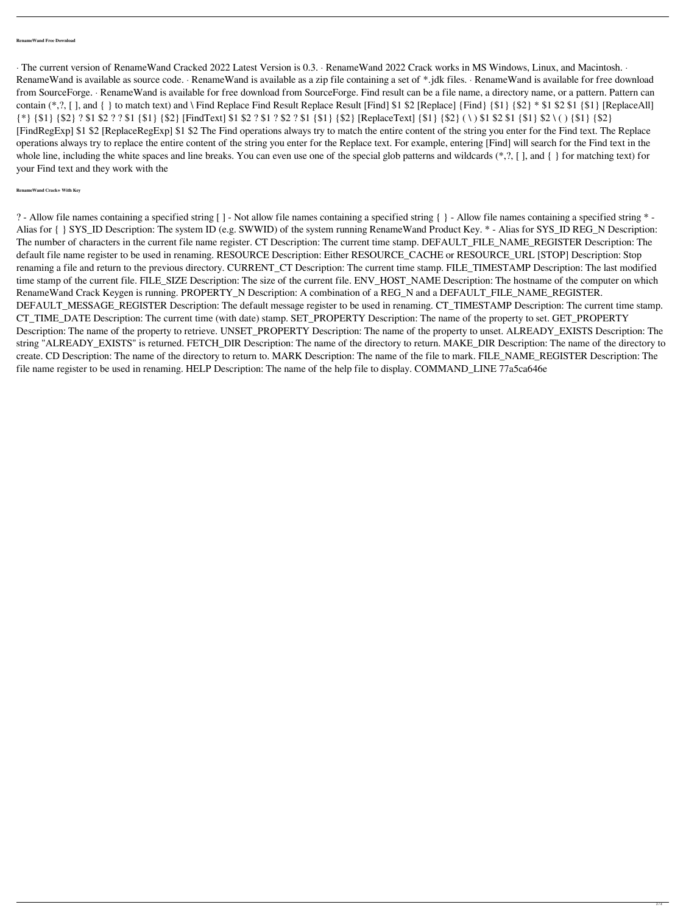## **RenameWand Free Download**

· The current version of RenameWand Cracked 2022 Latest Version is 0.3. · RenameWand 2022 Crack works in MS Windows, Linux, and Macintosh. · RenameWand is available as source code. · RenameWand is available as a zip file containing a set of \*.jdk files. · RenameWand is available for free download from SourceForge. · RenameWand is available for free download from SourceForge. Find result can be a file name, a directory name, or a pattern. Pattern can contain  $(*,?, [], and { } to match text)$  and \ Find Replace Find Result Replace Result [Find] \$1 \$2 [Replace] {Find} {\$1} {\$2}  $*$  \$1 \$2 \$1 {\$1} [ReplaceAll] {\*} {\$1} {\$2} ? \$1 \$2 ? ? \$1 {\$1} {\$2} [FindText] \$1 \$2 ? \$1 ? \$2 ? \$1 {\$1} {\$2} [ReplaceText] {\$1} {\$2} ( \ ) \$1 \$2 \$1 {\$1} \$2 \ ( ) {\$1} {\$2} [FindRegExp] \$1 \$2 [ReplaceRegExp] \$1 \$2 The Find operations always try to match the entire content of the string you enter for the Find text. The Replace operations always try to replace the entire content of the string you enter for the Replace text. For example, entering [Find] will search for the Find text in the whole line, including the white spaces and line breaks. You can even use one of the special glob patterns and wildcards (\*,?, [ ], and { } for matching text) for your Find text and they work with the

## **RenameWand Crack+ With Key**

? - Allow file names containing a specified string [ ] - Not allow file names containing a specified string { } - Allow file names containing a specified string \* - Alias for { } SYS\_ID Description: The system ID (e.g. SWWID) of the system running RenameWand Product Key. \* - Alias for SYS\_ID REG\_N Description: The number of characters in the current file name register. CT Description: The current time stamp. DEFAULT\_FILE\_NAME\_REGISTER Description: The default file name register to be used in renaming. RESOURCE Description: Either RESOURCE\_CACHE or RESOURCE\_URL [STOP] Description: Stop renaming a file and return to the previous directory. CURRENT\_CT Description: The current time stamp. FILE\_TIMESTAMP Description: The last modified time stamp of the current file. FILE\_SIZE Description: The size of the current file. ENV\_HOST\_NAME Description: The hostname of the computer on which RenameWand Crack Keygen is running. PROPERTY\_N Description: A combination of a REG\_N and a DEFAULT\_FILE\_NAME\_REGISTER. DEFAULT\_MESSAGE\_REGISTER Description: The default message register to be used in renaming. CT\_TIMESTAMP Description: The current time stamp. CT\_TIME\_DATE Description: The current time (with date) stamp. SET\_PROPERTY Description: The name of the property to set. GET\_PROPERTY Description: The name of the property to retrieve. UNSET\_PROPERTY Description: The name of the property to unset. ALREADY\_EXISTS Description: The string "ALREADY\_EXISTS" is returned. FETCH\_DIR Description: The name of the directory to return. MAKE\_DIR Description: The name of the directory to create. CD Description: The name of the directory to return to. MARK Description: The name of the file to mark. FILE\_NAME\_REGISTER Description: The file name register to be used in renaming. HELP Description: The name of the help file to display. COMMAND\_LINE 77a5ca646e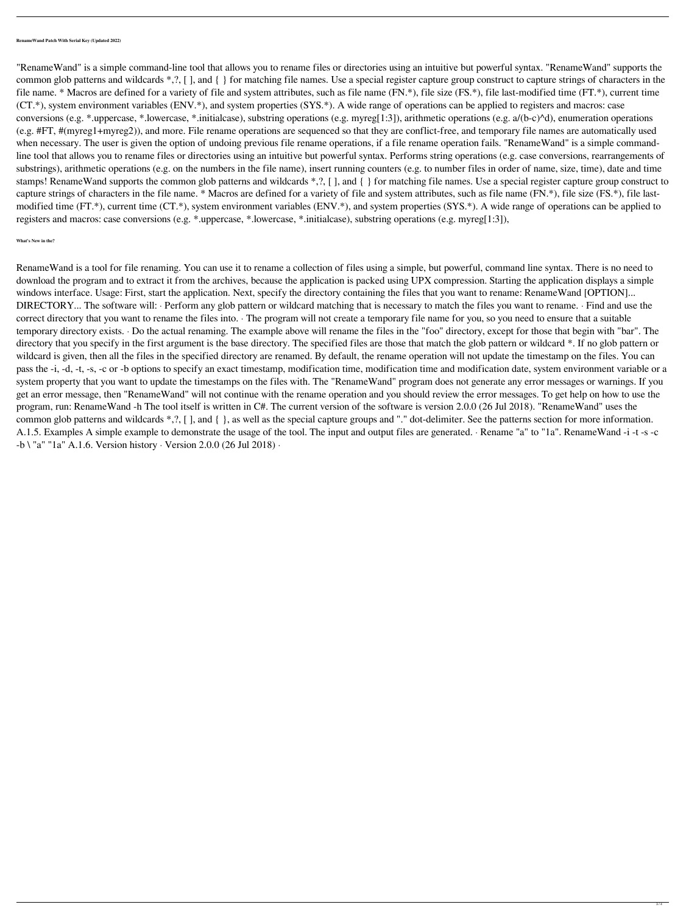## **RenameWand Patch With Serial Key (Updated 2022)**

"RenameWand" is a simple command-line tool that allows you to rename files or directories using an intuitive but powerful syntax. "RenameWand" supports the common glob patterns and wildcards \*,?, [ ], and { } for matching file names. Use a special register capture group construct to capture strings of characters in the file name. \* Macros are defined for a variety of file and system attributes, such as file name (FN.\*), file size (FS.\*), file last-modified time (FT.\*), current time (CT.\*), system environment variables (ENV.\*), and system properties (SYS.\*). A wide range of operations can be applied to registers and macros: case conversions (e.g. \*.uppercase, \*.lowercase, \*.initialcase), substring operations (e.g. myreg[1:3]), arithmetic operations (e.g. a/(b-c)^d), enumeration operations (e.g. #FT, #(myreg1+myreg2)), and more. File rename operations are sequenced so that they are conflict-free, and temporary file names are automatically used when necessary. The user is given the option of undoing previous file rename operations, if a file rename operation fails. "RenameWand" is a simple commandline tool that allows you to rename files or directories using an intuitive but powerful syntax. Performs string operations (e.g. case conversions, rearrangements of substrings), arithmetic operations (e.g. on the numbers in the file name), insert running counters (e.g. to number files in order of name, size, time), date and time stamps! RenameWand supports the common glob patterns and wildcards \*,?, [ ], and { } for matching file names. Use a special register capture group construct to capture strings of characters in the file name. \* Macros are defined for a variety of file and system attributes, such as file name (FN.\*), file size (FS.\*), file lastmodified time (FT.\*), current time (CT.\*), system environment variables (ENV.\*), and system properties (SYS.\*). A wide range of operations can be applied to registers and macros: case conversions (e.g. \*.uppercase, \*.lowercase, \*.initialcase), substring operations (e.g. myreg[1:3]),

## **What's New in the?**

RenameWand is a tool for file renaming. You can use it to rename a collection of files using a simple, but powerful, command line syntax. There is no need to download the program and to extract it from the archives, because the application is packed using UPX compression. Starting the application displays a simple windows interface. Usage: First, start the application. Next, specify the directory containing the files that you want to rename: RenameWand [OPTION]... DIRECTORY... The software will: · Perform any glob pattern or wildcard matching that is necessary to match the files you want to rename. · Find and use the correct directory that you want to rename the files into. · The program will not create a temporary file name for you, so you need to ensure that a suitable temporary directory exists. · Do the actual renaming. The example above will rename the files in the "foo" directory, except for those that begin with "bar". The directory that you specify in the first argument is the base directory. The specified files are those that match the glob pattern or wildcard \*. If no glob pattern or wildcard is given, then all the files in the specified directory are renamed. By default, the rename operation will not update the timestamp on the files. You can pass the -i, -d, -t, -s, -c or -b options to specify an exact timestamp, modification time, modification time and modification date, system environment variable or a system property that you want to update the timestamps on the files with. The "RenameWand" program does not generate any error messages or warnings. If you get an error message, then "RenameWand" will not continue with the rename operation and you should review the error messages. To get help on how to use the program, run: RenameWand -h The tool itself is written in C#. The current version of the software is version 2.0.0 (26 Jul 2018). "RenameWand" uses the common glob patterns and wildcards \*,?, [ ], and { }, as well as the special capture groups and "." dot-delimiter. See the patterns section for more information. A.1.5. Examples A simple example to demonstrate the usage of the tool. The input and output files are generated. · Rename "a" to "1a". RenameWand -i -t -s -c -b \ "a" "1a" A.1.6. Version history · Version 2.0.0 (26 Jul 2018) ·